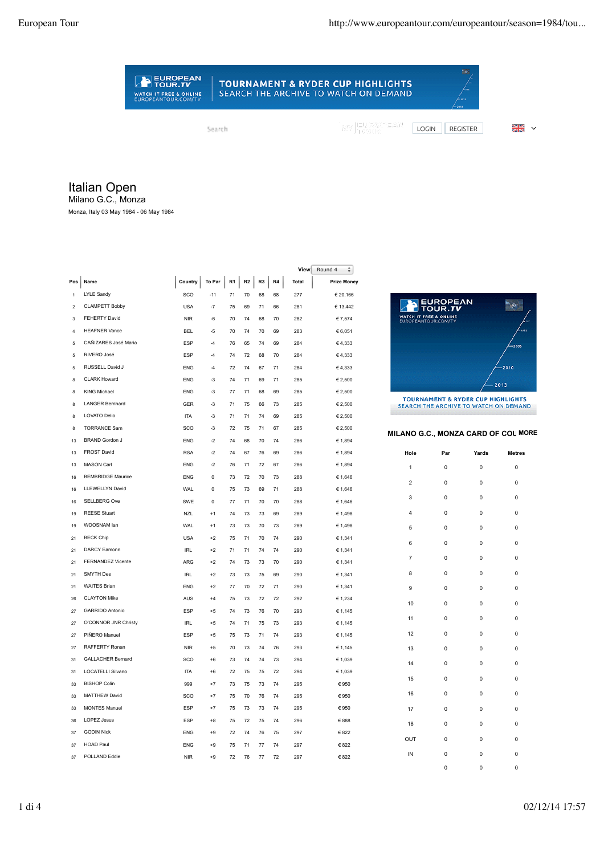## **TOURNAMENT & RYDER CUP HIGHLIGHTS** SEARCH THE ARCHIVE TO WATCH ON DEMAND

Search

EUROPEAN

WATCH IT FREE & ONLINE<br>EUROPEANTOUR.COM/TV

MY EUROPEAN<br>MY FROUR

LOGIN REGISTER 2

Italian Open

Milano G.C., Monza

Monza, Italy 03 May 1984 - 06 May 1984

|                         |                          |                            |             |    |    |    |    | View         | Round 4<br>÷       |
|-------------------------|--------------------------|----------------------------|-------------|----|----|----|----|--------------|--------------------|
| Pos                     | Name                     | Country $\parallel$ To Par |             | R1 | R2 | R3 | R4 | <b>Total</b> | <b>Prize Money</b> |
| $\mathbf{1}$            | <b>LYLE Sandy</b>        | SCO                        | $-11$       | 71 | 70 | 68 | 68 | 277          | € 20,166           |
| $\overline{\mathbf{c}}$ | <b>CLAMPETT Bobby</b>    | <b>USA</b>                 | $-7$        | 75 | 69 | 71 | 66 | 281          | € 13,442           |
| 3                       | FEHERTY David            | <b>NIR</b>                 | $-6$        | 70 | 74 | 68 | 70 | 282          | € 7,574            |
| $\overline{4}$          | <b>HEAFNER Vance</b>     | <b>BFI</b>                 | $-5$        | 70 | 74 | 70 | 69 | 283          | € 6,051            |
| $\overline{a}$          | CAÑIZARES José Maria     | ESP                        | $-4$        | 76 | 65 | 74 | 69 | 284          | €4,333             |
| 5                       | RIVERO José              | ESP                        | $-4$        | 74 | 72 | 68 | 70 | 284          | €4,333             |
| 5                       | RUSSELL David J          | <b>ENG</b>                 | $-4$        | 72 | 74 | 67 | 71 | 284          | €4,333             |
| 8                       | <b>CLARK Howard</b>      | <b>FNG</b>                 | $-3$        | 74 | 71 | 69 | 71 | 285          | € 2,500            |
| 8                       | <b>KING Michael</b>      | <b>ENG</b>                 | $-3$        | 77 | 71 | 68 | 69 | 285          | € 2,500            |
| 8                       | <b>LANGER Bernhard</b>   | <b>GER</b>                 | -3          | 71 | 75 | 66 | 73 | 285          | € 2,500            |
| $\mathbf{a}$            | <b>LOVATO Delio</b>      | <b>ITA</b>                 | $-3$        | 71 | 71 | 74 | 69 | 285          | € 2.500            |
| 8                       | <b>TORRANCE Sam</b>      | SCO                        | -3          | 72 | 75 | 71 | 67 | 285          | € 2,500            |
| 13                      | <b>BRAND Gordon J</b>    | <b>ENG</b>                 | $-2$        | 74 | 68 | 70 | 74 | 286          | € 1,894            |
| 13                      | <b>FROST David</b>       | <b>RSA</b>                 | $-2$        | 74 | 67 | 76 | 69 | 286          | € 1,894            |
| 13                      | <b>MASON Carl</b>        | <b>FNG</b>                 | $-2$        | 76 | 71 | 72 | 67 | 286          | € 1,894            |
| 16                      | <b>BEMBRIDGE Maurice</b> | <b>ENG</b>                 | 0           | 73 | 72 | 70 | 73 | 288          | € 1,646            |
| 16                      | LLEWELLYN David          | <b>WAL</b>                 | $\mathbf 0$ | 75 | 73 | 69 | 71 | 288          | € 1,646            |
| 16                      | <b>SELLBERG Ove</b>      | <b>SWE</b>                 | $\mathbf 0$ | 77 | 71 | 70 | 70 | 288          | € 1,646            |
| 19                      | <b>REESE Stuart</b>      | <b>NZL</b>                 | $+1$        | 74 | 73 | 73 | 69 | 289          | € 1,498            |
| 19                      | WOOSNAM lan              | <b>WAL</b>                 | $+1$        | 73 | 73 | 70 | 73 | 289          | € 1,498            |
| 21                      | <b>BECK Chip</b>         | <b>USA</b>                 | $+2$        | 75 | 71 | 70 | 74 | 290          | € 1,341            |
| 21                      | DARCY Eamonn             | <b>IRL</b>                 | $+2$        | 71 | 71 | 74 | 74 | 290          | € 1,341            |
| 21                      | FERNANDEZ Vicente        | ARG                        | $+2$        | 74 | 73 | 73 | 70 | 290          | € 1,341            |
| 21                      | <b>SMYTH Des</b>         | <b>IRL</b>                 | $+2$        | 73 | 73 | 75 | 69 | 290          | € 1,341            |
| 21                      | <b>WAITES Brian</b>      | <b>FNG</b>                 | $+2$        | 77 | 70 | 72 | 71 | 290          | € 1,341            |
| 26                      | <b>CLAYTON Mike</b>      | <b>AUS</b>                 | $+4$        | 75 | 73 | 72 | 72 | 292          | € 1,234            |
| 27                      | <b>GARRIDO Antonio</b>   | ESP                        | $+5$        | 74 | 73 | 76 | 70 | 293          | € 1,145            |
| 27                      | O'CONNOR JNR Christy     | IRI                        | $+5$        | 74 | 71 | 75 | 73 | 293          | € 1,145            |
| 27                      | PIÑERO Manuel            | ESP                        | $+5$        | 75 | 73 | 71 | 74 | 293          | € 1,145            |
| 27                      | RAFFFRTY Ronan           | <b>NIR</b>                 | $+5$        | 70 | 73 | 74 | 76 | 293          | € 1,145            |
| 31                      | <b>GALLACHER Bernard</b> | SCO                        | $+6$        | 73 | 74 | 74 | 73 | 294          | € 1.039            |
| 31                      | LOCATELLI Silvano        | <b>ITA</b>                 | $+6$        | 72 | 75 | 75 | 72 | 294          | € 1,039            |
| 33                      | <b>BISHOP Colin</b>      | 999                        | $+7$        | 73 | 75 | 73 | 74 | 295          | € 950              |
| 33                      | <b>MATTHEW David</b>     | SCO                        | $+7$        | 75 | 70 | 76 | 74 | 295          | € 950              |
| 33                      | <b>MONTES Manuel</b>     | ESP                        | $+7$        | 75 | 73 | 73 | 74 | 295          | € 950              |
| 36                      | <b>LOPEZ Jesus</b>       | <b>FSP</b>                 | $+8$        | 75 | 72 | 75 | 74 | 296          | € 888              |
| 37                      | <b>GODIN Nick</b>        | <b>ENG</b>                 | $+9$        | 72 | 74 | 76 | 75 | 297          | € 822              |
| 37                      | <b>HOAD Paul</b>         | <b>ENG</b>                 | $+9$        | 75 | 71 | 77 | 74 | 297          | € 822              |
| 37                      | POLLAND Eddie            | <b>NIR</b>                 | $+9$        | 72 | 76 | 77 | 72 | 297          | € 822              |



SEARCH THE ARCHIVE TO WATCH ON DEMAND

## **MILANO G.C., MONZA CARD OF COL MORE**

| Hole                    | Par | Yards | <b>Metres</b> |
|-------------------------|-----|-------|---------------|
| 1                       | 0   | 0     | 0             |
| $\mathbf 2$             | 0   | 0     | 0             |
| 3                       | 0   | 0     | 0             |
| $\overline{\mathbf{4}}$ | 0   | 0     | 0             |
| 5                       | 0   | 0     | 0             |
| 6                       | 0   | 0     | 0             |
| $\overline{7}$          | 0   | 0     | 0             |
| 8                       | 0   | 0     | 0             |
| 9                       | 0   | 0     | 0             |
| 10                      | 0   | 0     | 0             |
| 11                      | 0   | 0     | 0             |
| 12                      | 0   | 0     | 0             |
| 13                      | 0   | 0     | 0             |
| 14                      | 0   | 0     | 0             |
| 15                      | 0   | 0     | 0             |
| 16                      | 0   | 0     | 0             |
| 17                      | 0   | 0     | 0             |
| 18                      | 0   | 0     | 0             |
| OUT                     | 0   | 0     | 0             |
| IN                      | 0   | 0     | 0             |

0 0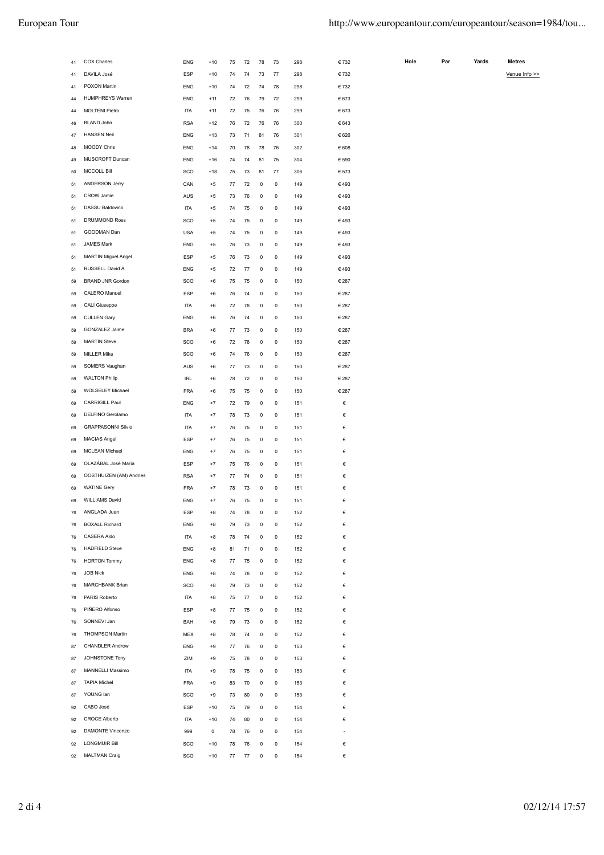| 41 | COX Charles               | <b>ENG</b> | $+10$ | 75 | 72 | 78 | 73 | 298 | € 732 |
|----|---------------------------|------------|-------|----|----|----|----|-----|-------|
| 41 | DAVILA José               | <b>ESP</b> | $+10$ | 74 | 74 | 73 | 77 | 298 | €732  |
| 41 | POXON Martin              | <b>ENG</b> | $+10$ | 74 | 72 | 74 | 78 | 298 | € 732 |
| 44 | <b>HUMPHREYS Warren</b>   | <b>ENG</b> | $+11$ | 72 | 76 | 79 | 72 | 299 | € 673 |
| 44 | <b>MOLTENI Pietro</b>     | <b>ITA</b> | $+11$ | 72 | 75 | 76 | 76 | 299 | € 673 |
| 46 | <b>BLAND John</b>         | <b>RSA</b> | $+12$ | 76 | 72 | 76 | 76 | 300 | € 643 |
| 47 | <b>HANSEN Neil</b>        | <b>ENG</b> | $+13$ | 73 | 71 | 81 | 76 | 301 | € 626 |
| 48 | <b>MOODY Chris</b>        | <b>ENG</b> | $+14$ | 70 | 78 | 78 | 76 | 302 | € 608 |
| 49 | MUSCROFT Duncan           | <b>ENG</b> | $+16$ | 74 | 74 | 81 | 75 | 304 | € 590 |
| 50 | <b>MCCOLL Bill</b>        | SCO        | $+18$ | 75 | 73 | 81 | 77 | 306 | € 573 |
| 51 | ANDERSON Jerry            | CAN        | $+5$  | 77 | 72 | 0  | 0  | 149 | €493  |
| 51 | CROW Jamie                | AUS        | $+5$  | 73 | 76 | 0  | 0  | 149 | €493  |
| 51 | DASSU Baldovino           | <b>ITA</b> | $+5$  | 74 | 75 | 0  | 0  | 149 | €493  |
| 51 | DRUMMOND Ross             | SCO        | $+5$  | 74 | 75 | 0  | 0  | 149 | €493  |
| 51 | GOODMAN Dan               | <b>USA</b> | $+5$  | 74 | 75 | 0  | 0  | 149 | €493  |
|    | <b>JAMES Mark</b>         | <b>ENG</b> | $+5$  | 76 | 73 | 0  | 0  | 149 | €493  |
| 51 | MARTIN Miguel Angel       | <b>ESP</b> | $+5$  | 76 | 73 | 0  | 0  | 149 | €493  |
| 51 | RUSSELL David A           |            |       | 72 | 77 | 0  | 0  |     | €493  |
| 51 |                           | ENG        | $+5$  |    |    |    |    | 149 |       |
| 59 | <b>BRAND JNR Gordon</b>   | SCO        | $+6$  | 75 | 75 | 0  | 0  | 150 | € 287 |
| 59 | CALERO Manuel             | ESP        | $+6$  | 76 | 74 | 0  | 0  | 150 | € 287 |
| 59 | CALI Giuseppe             | <b>ITA</b> | $+6$  | 72 | 78 | 0  | 0  | 150 | € 287 |
| 59 | <b>CULLEN Gary</b>        | <b>ENG</b> | $+6$  | 76 | 74 | 0  | 0  | 150 | € 287 |
| 59 | GONZALEZ Jaime            | <b>BRA</b> | $+6$  | 77 | 73 | 0  | 0  | 150 | € 287 |
| 59 | <b>MARTIN Steve</b>       | SCO        | $+6$  | 72 | 78 | 0  | 0  | 150 | € 287 |
| 59 | <b>MILLER Mike</b>        | SCO        | $+6$  | 74 | 76 | 0  | 0  | 150 | € 287 |
| 59 | SOMERS Vaughan            | AUS        | $+6$  | 77 | 73 | 0  | 0  | 150 | € 287 |
| 59 | <b>WALTON Philip</b>      | <b>IRL</b> | $+6$  | 78 | 72 | 0  | 0  | 150 | € 287 |
| 59 | WOLSELEY Michael          | <b>FRA</b> | $+6$  | 75 | 75 | 0  | 0  | 150 | € 287 |
| 69 | CARRIGILL Paul            | <b>ENG</b> | $+7$  | 72 | 79 | 0  | 0  | 151 | €     |
| 69 | DELFINO Gerolamo          | <b>ITA</b> | $+7$  | 78 | 73 | 0  | 0  | 151 | €     |
| 69 | <b>GRAPPASONNI Silvio</b> | <b>ITA</b> | $+7$  | 76 | 75 | 0  | 0  | 151 | €     |
| 69 | <b>MACIAS Angel</b>       | ESP        | $+7$  | 76 | 75 | 0  | 0  | 151 | €     |
| 69 | <b>MCLEAN Michael</b>     | <b>ENG</b> | $+7$  | 76 | 75 | 0  | 0  | 151 | €     |
| 69 | OLAZÁBAL José María       | ESP        | $+7$  | 75 | 76 | 0  | 0  | 151 | €     |
| 69 | OOSTHUIZEN (AM) Andries   | <b>RSA</b> | $+7$  | 77 | 74 | 0  | 0  | 151 | €     |
| 69 | <b>WATINE Gery</b>        | <b>FRA</b> | $+7$  | 78 | 73 | 0  | 0  | 151 | €     |
| 69 | <b>WILLIAMS David</b>     | <b>ENG</b> | $+7$  | 76 | 75 | 0  | 0  | 151 | €     |
| 76 | ANGLADA Juan              | ESP        | $+8$  | 74 | 78 | 0  | 0  | 152 | €     |
| 76 | <b>BOXALL Richard</b>     | <b>ENG</b> | $+8$  | 79 | 73 | 0  | 0  | 152 | €     |
| 76 | CASERA Aldo               | <b>ITA</b> | $+8$  | 78 | 74 | 0  | 0  | 152 | €     |
| 76 | <b>HADFIELD Steve</b>     | <b>ENG</b> | $+8$  | 81 | 71 | 0  | 0  | 152 | €     |
| 76 | <b>HORTON Tommy</b>       | <b>ENG</b> | $+8$  | 77 | 75 | 0  | 0  | 152 | €     |
| 76 | <b>JOB Nick</b>           | <b>ENG</b> | $+8$  | 74 | 78 | 0  | 0  | 152 | €     |
| 76 | MARCHBANK Brian           | SCO        | $+8$  | 79 | 73 | 0  | 0  | 152 | €     |
| 76 | PARIS Roberto             | <b>ITA</b> | $+8$  | 75 | 77 | 0  | 0  | 152 | €     |
| 76 | PIÑERO Alfonso            | ESP        | $+8$  | 77 | 75 | 0  | 0  | 152 | €     |
| 76 | SONNEVI Jan               | BAH        | $+8$  | 79 | 73 | 0  | 0  | 152 | €     |
|    | <b>THOMPSON Martin</b>    | <b>MEX</b> | $+8$  | 78 | 74 | 0  | 0  | 152 | €     |
| 76 |                           |            |       |    |    |    |    |     |       |
| 87 | <b>CHANDLER Andrew</b>    | <b>ENG</b> | $+9$  | 77 | 76 | 0  | 0  | 153 | €     |
| 87 | JOHNSTONE Tony            | ZIM        | $+9$  | 75 | 78 | 0  | 0  | 153 | €     |
| 87 | MANNELLI Massimo          | <b>ITA</b> | $+9$  | 78 | 75 | 0  | 0  | 153 | €     |
| 87 | <b>TAPIA Michel</b>       | <b>FRA</b> | $+9$  | 83 | 70 | 0  | 0  | 153 | €     |
| 87 | YOUNG Ian                 | SCO        | $+9$  | 73 | 80 | 0  | 0  | 153 | €     |
| 92 | CABO José                 | ESP        | $+10$ | 75 | 79 | 0  | 0  | 154 | €     |
| 92 | <b>CROCE Alberto</b>      | <b>ITA</b> | $+10$ | 74 | 80 | 0  | 0  | 154 | €     |
| 92 | DAMONTE Vincenzo          | 999        | 0     | 78 | 76 | 0  | 0  | 154 | ÷,    |
| 92 | <b>LONGMUIR Bill</b>      | SCO        | $+10$ | 78 | 76 | 0  | 0  | 154 | €     |
| 92 | <b>MALTMAN Craig</b>      | SCO        | $+10$ | 77 | 77 | 0  | 0  | 154 | €     |

| Hole | Par | Yards | <b>Metres</b> |  |
|------|-----|-------|---------------|--|
|------|-----|-------|---------------|--|

Venue Info >>